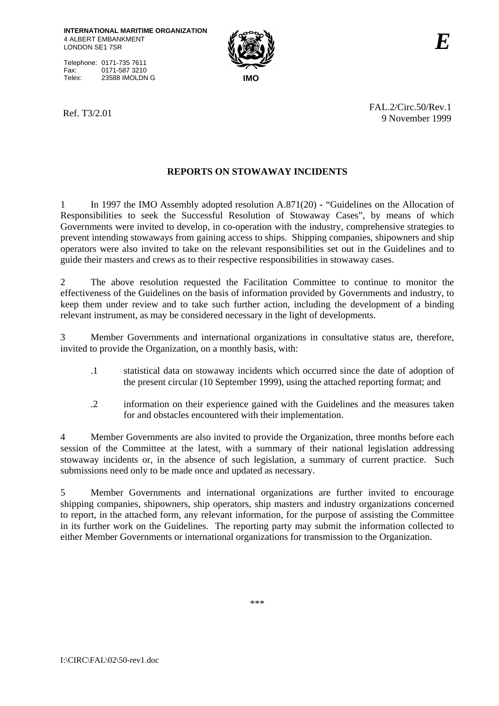Telephone: 0171-735 7611 Fax: 0171-587 3210<br>Telex: 23588 IMOLDN Telex: 23588 IMOLDN G **IMO**



Ref. T3/2.01 FAL.2/Circ.50/Rev.1 9 November 1999

## **REPORTS ON STOWAWAY INCIDENTS**

1 In 1997 the IMO Assembly adopted resolution A.871(20) - "Guidelines on the Allocation of Responsibilities to seek the Successful Resolution of Stowaway Cases", by means of which Governments were invited to develop, in co-operation with the industry, comprehensive strategies to prevent intending stowaways from gaining access to ships. Shipping companies, shipowners and ship operators were also invited to take on the relevant responsibilities set out in the Guidelines and to guide their masters and crews as to their respective responsibilities in stowaway cases.

2 The above resolution requested the Facilitation Committee to continue to monitor the effectiveness of the Guidelines on the basis of information provided by Governments and industry, to keep them under review and to take such further action, including the development of a binding relevant instrument, as may be considered necessary in the light of developments.

3 Member Governments and international organizations in consultative status are, therefore, invited to provide the Organization, on a monthly basis, with:

- .1 statistical data on stowaway incidents which occurred since the date of adoption of the present circular (10 September 1999), using the attached reporting format; and
- .2 information on their experience gained with the Guidelines and the measures taken for and obstacles encountered with their implementation.

4 Member Governments are also invited to provide the Organization, three months before each session of the Committee at the latest, with a summary of their national legislation addressing stowaway incidents or, in the absence of such legislation, a summary of current practice. Such submissions need only to be made once and updated as necessary.

5 Member Governments and international organizations are further invited to encourage shipping companies, shipowners, ship operators, ship masters and industry organizations concerned to report, in the attached form, any relevant information, for the purpose of assisting the Committee in its further work on the Guidelines. The reporting party may submit the information collected to either Member Governments or international organizations for transmission to the Organization.

\*\*\*